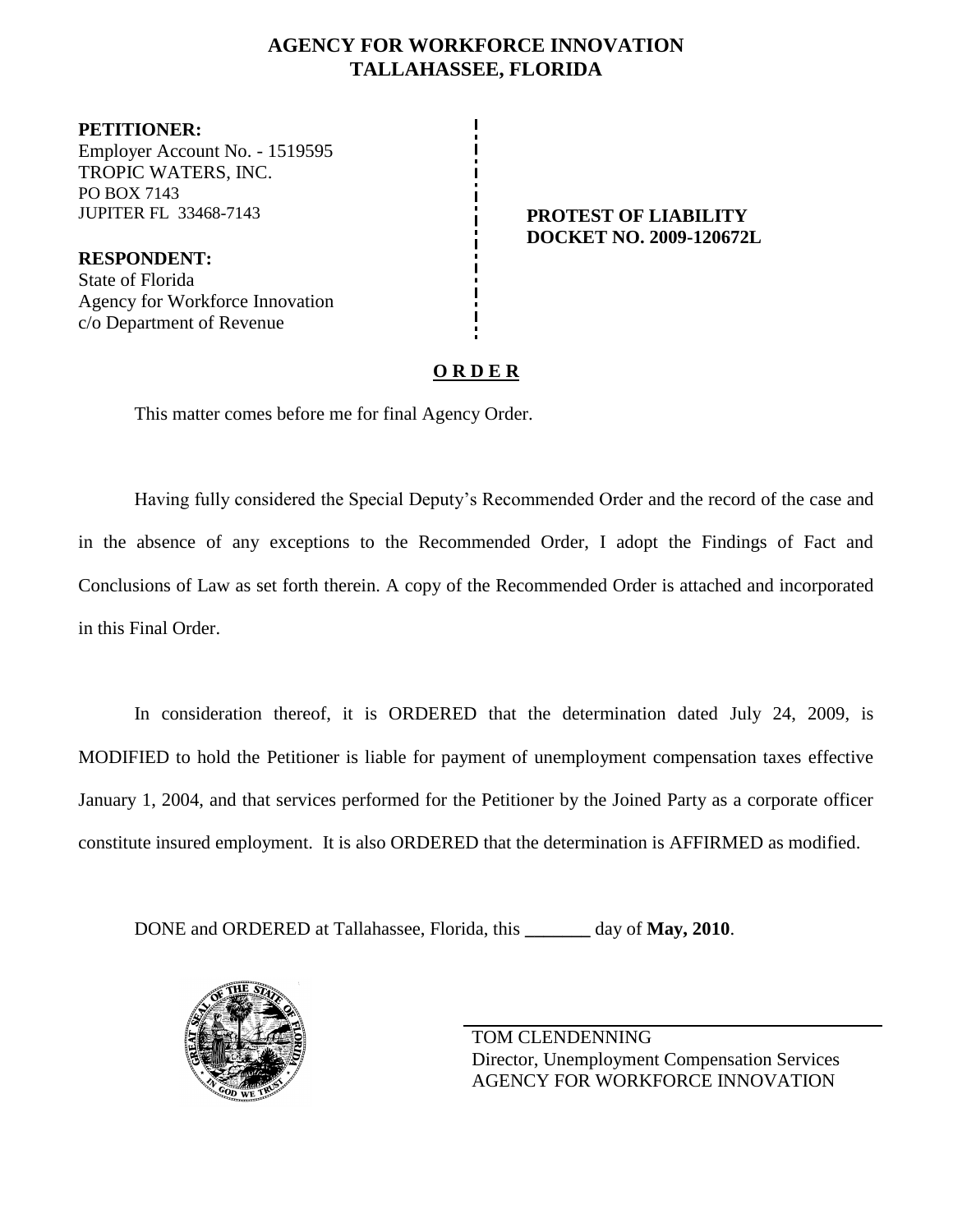## **AGENCY FOR WORKFORCE INNOVATION TALLAHASSEE, FLORIDA**

**PETITIONER:** Employer Account No. - 1519595 TROPIC WATERS, INC. PO BOX 7143 JUPITER FL 33468-7143 **PROTEST OF LIABILITY**

**RESPONDENT:** State of Florida Agency for Workforce Innovation c/o Department of Revenue

**DOCKET NO. 2009-120672L**

# **O R D E R**

This matter comes before me for final Agency Order.

Having fully considered the Special Deputy's Recommended Order and the record of the case and in the absence of any exceptions to the Recommended Order, I adopt the Findings of Fact and Conclusions of Law as set forth therein. A copy of the Recommended Order is attached and incorporated in this Final Order.

In consideration thereof, it is ORDERED that the determination dated July 24, 2009, is MODIFIED to hold the Petitioner is liable for payment of unemployment compensation taxes effective January 1, 2004, and that services performed for the Petitioner by the Joined Party as a corporate officer constitute insured employment. It is also ORDERED that the determination is AFFIRMED as modified.

DONE and ORDERED at Tallahassee, Florida, this **\_\_\_\_\_\_\_** day of **May, 2010**.



TOM CLENDENNING Director, Unemployment Compensation Services AGENCY FOR WORKFORCE INNOVATION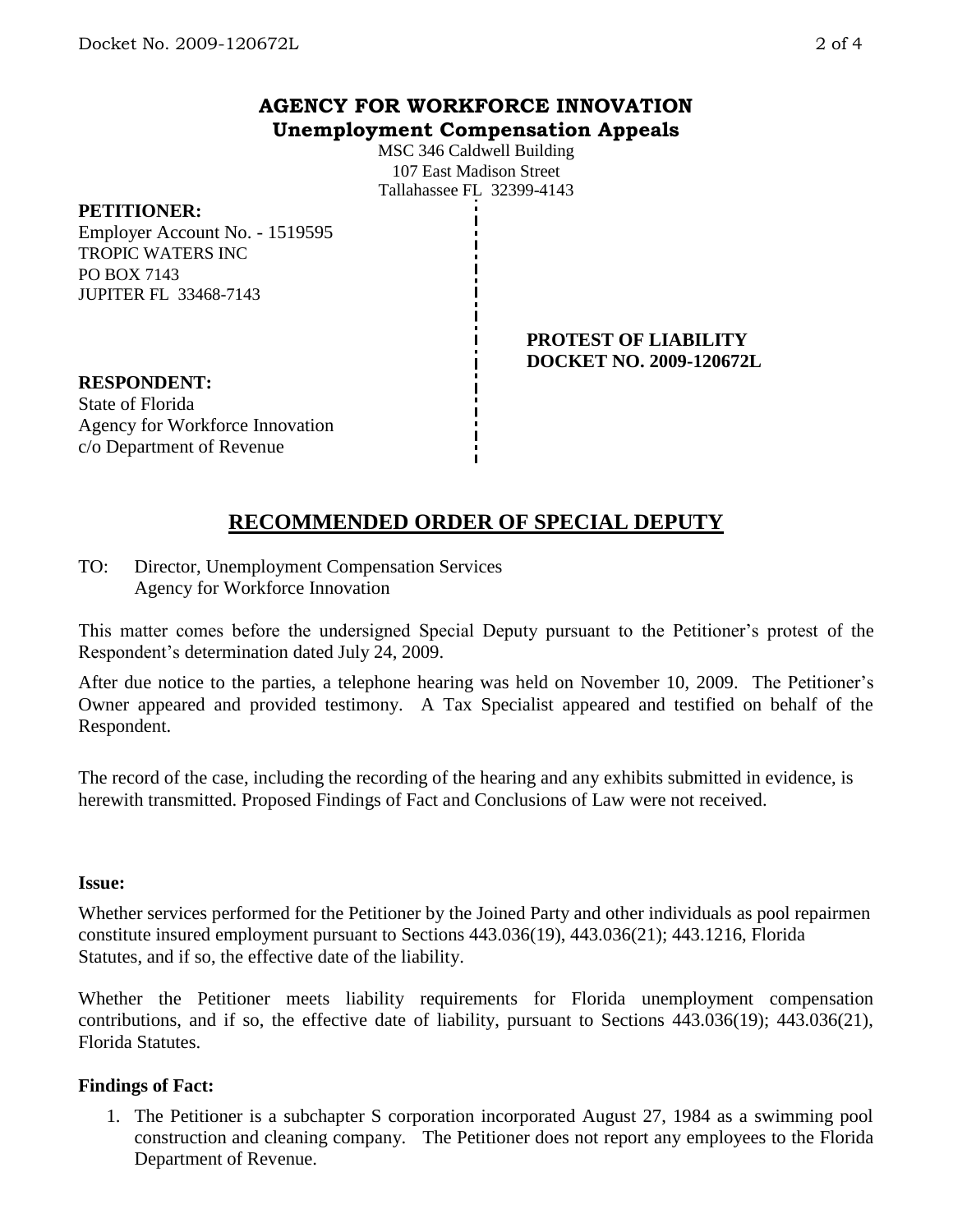## **AGENCY FOR WORKFORCE INNOVATION Unemployment Compensation Appeals**

MSC 346 Caldwell Building 107 East Madison Street Tallahassee FL 32399-4143

### **PETITIONER:**

Employer Account No. - 1519595 TROPIC WATERS INC PO BOX 7143 JUPITER FL 33468-7143

> **PROTEST OF LIABILITY DOCKET NO. 2009-120672L**

**RESPONDENT:** State of Florida Agency for Workforce Innovation c/o Department of Revenue

# **RECOMMENDED ORDER OF SPECIAL DEPUTY**

TO: Director, Unemployment Compensation Services Agency for Workforce Innovation

This matter comes before the undersigned Special Deputy pursuant to the Petitioner's protest of the Respondent's determination dated July 24, 2009.

After due notice to the parties, a telephone hearing was held on November 10, 2009. The Petitioner's Owner appeared and provided testimony. A Tax Specialist appeared and testified on behalf of the Respondent.

The record of the case, including the recording of the hearing and any exhibits submitted in evidence, is herewith transmitted. Proposed Findings of Fact and Conclusions of Law were not received.

#### **Issue:**

Whether services performed for the Petitioner by the Joined Party and other individuals as pool repairmen constitute insured employment pursuant to Sections 443.036(19), 443.036(21); 443.1216, Florida Statutes, and if so, the effective date of the liability.

Whether the Petitioner meets liability requirements for Florida unemployment compensation contributions, and if so, the effective date of liability, pursuant to Sections 443.036(19); 443.036(21), Florida Statutes.

### **Findings of Fact:**

1. The Petitioner is a subchapter S corporation incorporated August 27, 1984 as a swimming pool construction and cleaning company. The Petitioner does not report any employees to the Florida Department of Revenue.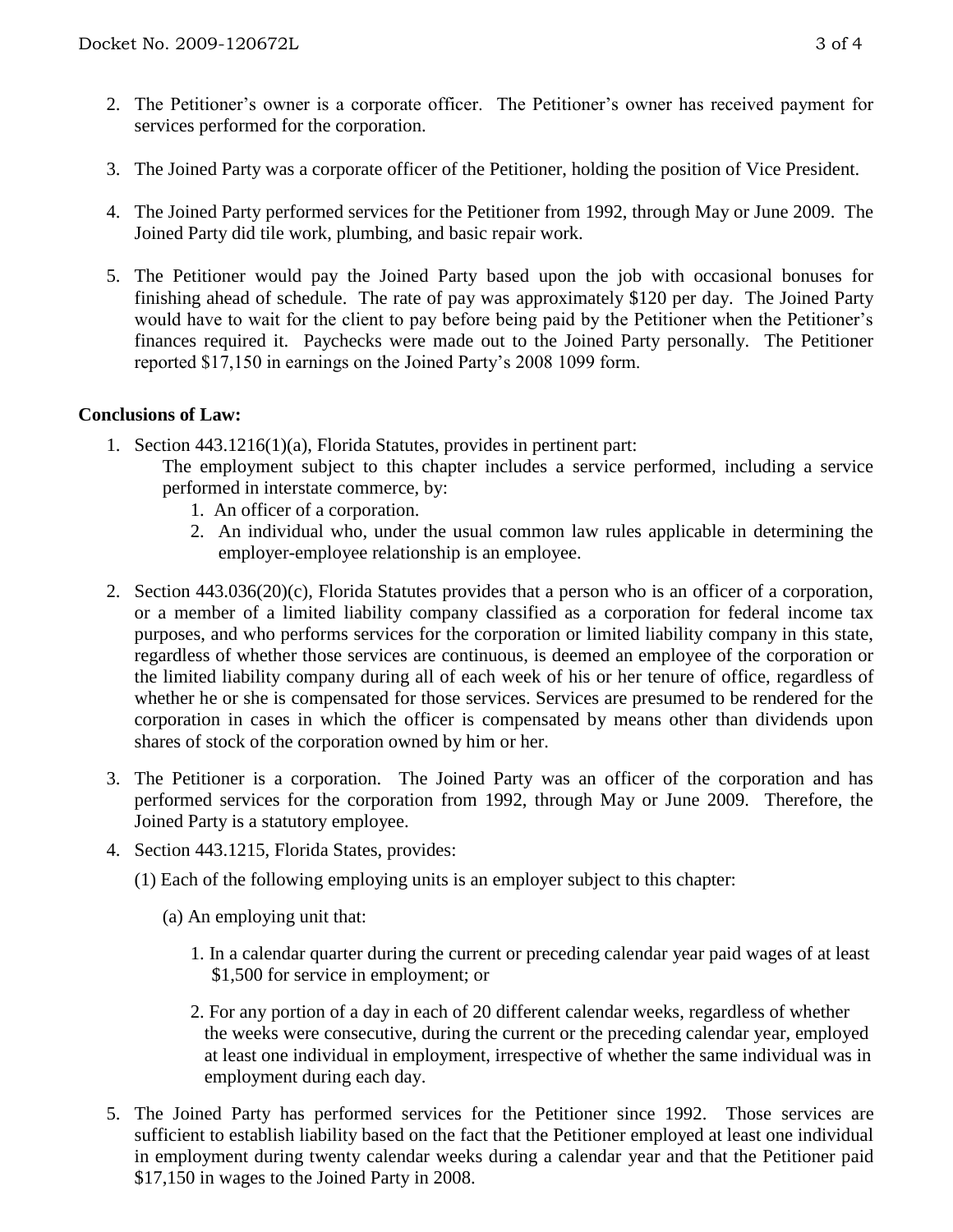- 2. The Petitioner's owner is a corporate officer. The Petitioner's owner has received payment for services performed for the corporation.
- 3. The Joined Party was a corporate officer of the Petitioner, holding the position of Vice President.
- 4. The Joined Party performed services for the Petitioner from 1992, through May or June 2009. The Joined Party did tile work, plumbing, and basic repair work.
- 5. The Petitioner would pay the Joined Party based upon the job with occasional bonuses for finishing ahead of schedule. The rate of pay was approximately \$120 per day. The Joined Party would have to wait for the client to pay before being paid by the Petitioner when the Petitioner's finances required it. Paychecks were made out to the Joined Party personally. The Petitioner reported \$17,150 in earnings on the Joined Party's 2008 1099 form.

## **Conclusions of Law:**

- 1. Section 443.1216(1)(a), Florida Statutes, provides in pertinent part:
	- The employment subject to this chapter includes a service performed, including a service performed in interstate commerce, by:
		- 1. An officer of a corporation.
		- 2. An individual who, under the usual common law rules applicable in determining the employer-employee relationship is an employee.
- 2. Section 443.036(20)(c), Florida Statutes provides that a person who is an officer of a corporation, or a member of a limited liability company classified as a corporation for federal income tax purposes, and who performs services for the corporation or limited liability company in this state, regardless of whether those services are continuous, is deemed an employee of the corporation or the limited liability company during all of each week of his or her tenure of office, regardless of whether he or she is compensated for those services. Services are presumed to be rendered for the corporation in cases in which the officer is compensated by means other than dividends upon shares of stock of the corporation owned by him or her.
- 3. The Petitioner is a corporation. The Joined Party was an officer of the corporation and has performed services for the corporation from 1992, through May or June 2009. Therefore, the Joined Party is a statutory employee.
- 4. Section 443.1215, Florida States, provides:
	- (1) Each of the following employing units is an employer subject to this chapter:
		- (a) An employing unit that:
			- 1. In a calendar quarter during the current or preceding calendar year paid wages of at least \$1,500 for service in employment; or
			- 2. For any portion of a day in each of 20 different calendar weeks, regardless of whether the weeks were consecutive, during the current or the preceding calendar year, employed at least one individual in employment, irrespective of whether the same individual was in employment during each day.
- 5. The Joined Party has performed services for the Petitioner since 1992. Those services are sufficient to establish liability based on the fact that the Petitioner employed at least one individual in employment during twenty calendar weeks during a calendar year and that the Petitioner paid \$17,150 in wages to the Joined Party in 2008.